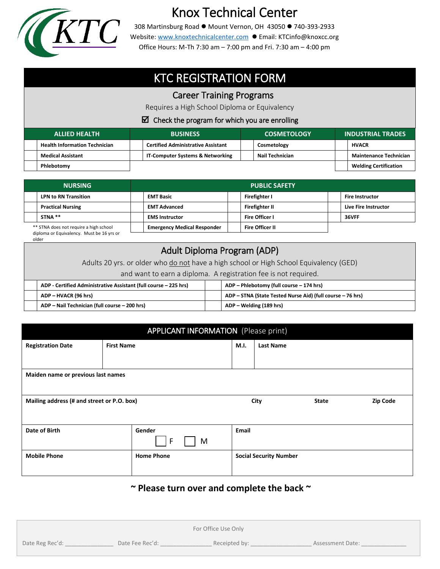

# Knox Technical Center

308 Martinsburg Road ● Mount Vernon, OH 43050 ● 740-393-2933 Website: [www.knoxtechnicalcenter.com](http://www.knoxtechnicalcenter.com/) ● Email: KTCinfo@knoxcc.org Office Hours: M-Th 7:30 am – 7:00 pm and Fri. 7:30 am – 4:00 pm

## KTC REGISTRATION FORM

### Career Training Programs

Requires a High School Diploma or Equivalency

#### $\boxtimes$  Check the program for which you are enrolling

| <b>ALLIED HEALTH</b> |                                      | <b>BUSINESS</b> |                                           | <b>COSMETOLOGY</b> |                 |  | <b>INDUSTRIAL TRADES</b>      |  |
|----------------------|--------------------------------------|-----------------|-------------------------------------------|--------------------|-----------------|--|-------------------------------|--|
|                      | <b>Health Information Technician</b> |                 | <b>Certified Administrative Assistant</b> |                    | Cosmetology     |  | <b>HVACR</b>                  |  |
|                      | <b>Medical Assistant</b>             |                 | IT-Computer Systems & Networking          |                    | Nail Technician |  | <b>Maintenance Technician</b> |  |
|                      | Phlebotomy                           |                 |                                           |                    |                 |  | <b>Welding Certification</b>  |  |

| <b>NURSING</b>                         |                             | <b>PUBLIC SAFETY</b>               |  |                        |  |                        |  |
|----------------------------------------|-----------------------------|------------------------------------|--|------------------------|--|------------------------|--|
|                                        | <b>LPN to RN Transition</b> | <b>EMT Basic</b>                   |  | Firefighter I          |  | <b>Fire Instructor</b> |  |
|                                        | <b>Practical Nursing</b>    | <b>EMT Advanced</b>                |  | Firefighter II         |  | Live Fire Instructor   |  |
|                                        | STNA **                     | <b>EMS Instructor</b>              |  | <b>Fire Officer I</b>  |  | 36VFF                  |  |
| ** STNA does not require a high school |                             | <b>Emergency Medical Responder</b> |  | <b>Fire Officer II</b> |  |                        |  |

diploma or Equivalency. Must be 16 yrs or older

## Adult Diploma Program (ADP) Adults 20 yrs. or older who do not have a high school or High School Equivalency (GED) and want to earn a diploma. A registration fee is not required. **ADP - Certified Administrative Assistant (full course – 225 hrs) ADP – Phlebotomy (full course – 174 hrs) ADP – HVACR (96 hrs) ADP – STNA (State Tested Nurse Aid) (full course – 76 hrs) ADP – Nail Technician (full course – 200 hrs) ADP – Welding (189 hrs)**

| <b>APPLICANT INFORMATION</b> (Please print) |                   |                   |       |                      |                               |                 |  |
|---------------------------------------------|-------------------|-------------------|-------|----------------------|-------------------------------|-----------------|--|
| <b>Registration Date</b>                    | <b>First Name</b> |                   |       | M.I.                 | <b>Last Name</b>              |                 |  |
|                                             |                   |                   |       |                      |                               |                 |  |
| Maiden name or previous last names          |                   |                   |       |                      |                               |                 |  |
|                                             |                   |                   |       |                      |                               |                 |  |
| Mailing address (# and street or P.O. box)  |                   |                   |       | City<br><b>State</b> |                               | <b>Zip Code</b> |  |
|                                             |                   |                   |       |                      |                               |                 |  |
| Date of Birth                               | Gender            |                   | Email |                      |                               |                 |  |
| F<br>M                                      |                   |                   |       |                      |                               |                 |  |
| <b>Mobile Phone</b>                         |                   | <b>Home Phone</b> |       |                      | <b>Social Security Number</b> |                 |  |
|                                             |                   |                   |       |                      |                               |                 |  |

## **~ Please turn over and complete the back ~**

|                 |                 | For Office Use Only |                  |
|-----------------|-----------------|---------------------|------------------|
| Date Reg Rec'd: | Date Fee Rec'd: | Receipted by:       | Assessment Date: |